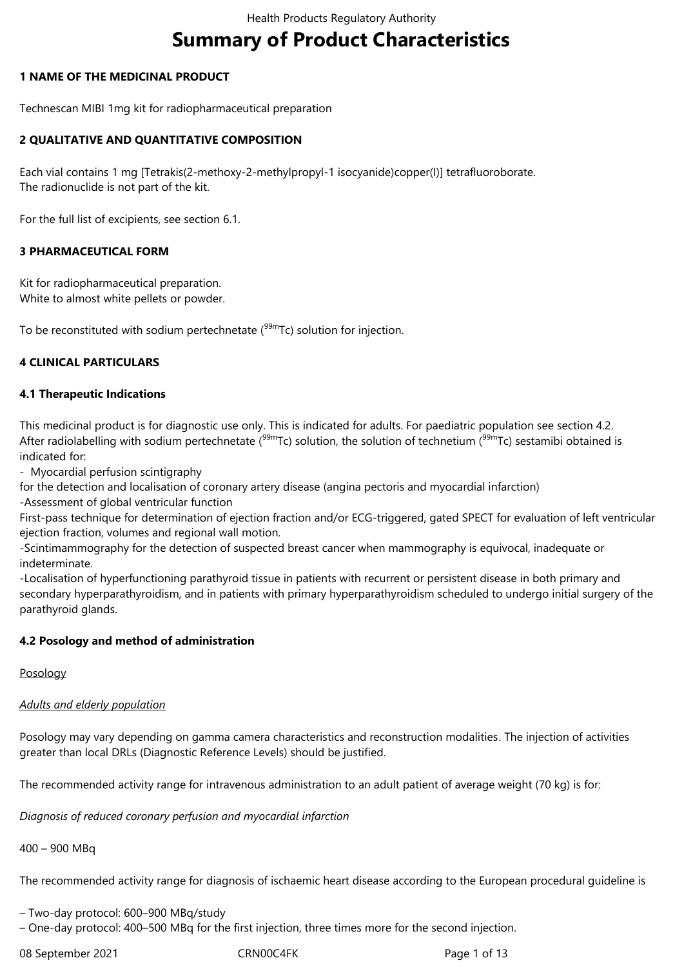# **Summary of Product Characteristics**

## **1 NAME OF THE MEDICINAL PRODUCT**

Technescan MIBI 1mg kit for radiopharmaceutical preparation

## **2 QUALITATIVE AND QUANTITATIVE COMPOSITION**

Each vial contains 1 mg [Tetrakis(2-methoxy-2-methylpropyl-1 isocyanide)copper(I)] tetrafluoroborate. The radionuclide is not part of the kit.

For the full list of excipients, see section 6.1.

## **3 PHARMACEUTICAL FORM**

Kit for radiopharmaceutical preparation. White to almost white pellets or powder.

To be reconstituted with sodium pertechnetate  $(99m)$ Tc) solution for injection.

## **4 CLINICAL PARTICULARS**

## **4.1 Therapeutic Indications**

This medicinal product is for diagnostic use only. This is indicated for adults. For paediatric population see section 4.2. After radiolabelling with sodium pertechnetate ( $99mTc$ ) solution, the solution of technetium ( $99mTc$ ) sestamibi obtained is indicated for:

- Myocardial perfusion scintigraphy

for the detection and localisation of coronary artery disease (angina pectoris and myocardial infarction) -Assessment of global ventricular function

First-pass technique for determination of ejection fraction and/or ECG-triggered, gated SPECT for evaluation of left ventricular ejection fraction, volumes and regional wall motion.

-Scintimammography for the detection of suspected breast cancer when mammography is equivocal, inadequate or indeterminate.

-Localisation of hyperfunctioning parathyroid tissue in patients with recurrent or persistent disease in both primary and secondary hyperparathyroidism, and in patients with primary hyperparathyroidism scheduled to undergo initial surgery of the parathyroid glands.

#### **4.2 Posology and method of administration**

#### Posology

## *Adults and elderly population*

Posology may vary depending on gamma camera characteristics and reconstruction modalities. The injection of activities greater than local DRLs (Diagnostic Reference Levels) should be justified.

The recommended activity range for intravenous administration to an adult patient of average weight (70 kg) is for:

*Diagnosis of reduced coronary perfusion and myocardial infarction*

400 – 900 MBq

The recommended activity range for diagnosis of ischaemic heart disease according to the European procedural guideline is

– Two-day protocol: 600–900 MBq/study

– One-day protocol: 400–500 MBq for the first injection, three times more for the second injection.

08 September 2021 CRN00C4FK Page 1 of 13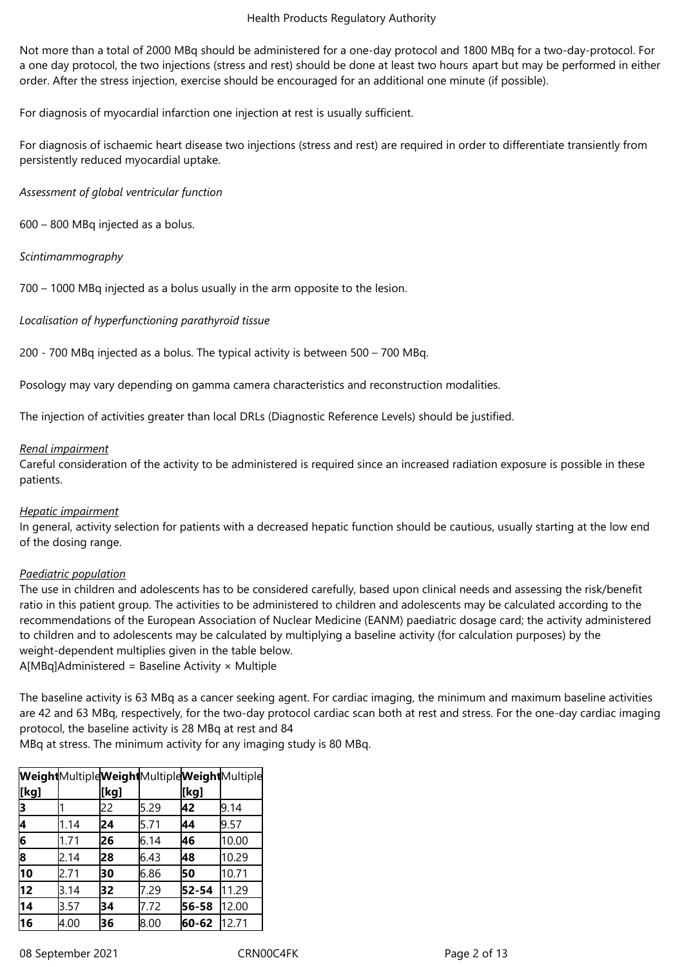Not more than a total of 2000 MBq should be administered for a one-day protocol and 1800 MBq for a two-day-protocol. For a one day protocol, the two injections (stress and rest) should be done at least two hours apart but may be performed in either order. After the stress injection, exercise should be encouraged for an additional one minute (if possible).

For diagnosis of myocardial infarction one injection at rest is usually sufficient.

For diagnosis of ischaemic heart disease two injections (stress and rest) are required in order to differentiate transiently from persistently reduced myocardial uptake.

*Assessment of global ventricular function*

600 – 800 MBq injected as a bolus.

*Scintimammography*

700 – 1000 MBq injected as a bolus usually in the arm opposite to the lesion.

*Localisation of hyperfunctioning parathyroid tissue*

200 - 700 MBq injected as a bolus. The typical activity is between 500 – 700 MBq.

Posology may vary depending on gamma camera characteristics and reconstruction modalities.

The injection of activities greater than local DRLs (Diagnostic Reference Levels) should be justified.

#### *Renal impairment*

Careful consideration of the activity to be administered is required since an increased radiation exposure is possible in these patients.

#### *Hepatic impairment*

In general, activity selection for patients with a decreased hepatic function should be cautious, usually starting at the low end of the dosing range.

## *Paediatric population*

The use in children and adolescents has to be considered carefully, based upon clinical needs and assessing the risk/benefit ratio in this patient group. The activities to be administered to children and adolescents may be calculated according to the recommendations of the European Association of Nuclear Medicine (EANM) paediatric dosage card; the activity administered to children and to adolescents may be calculated by multiplying a baseline activity (for calculation purposes) by the weight-dependent multiplies given in the table below.

 $A[MBq]$ Administered = Baseline Activity  $\times$  Multiple

The baseline activity is 63 MBq as a cancer seeking agent. For cardiac imaging, the minimum and maximum baseline activities are 42 and 63 MBq, respectively, for the two-day protocol cardiac scan both at rest and stress. For the one-day cardiac imaging protocol, the baseline activity is 28 MBq at rest and 84

MBq at stress. The minimum activity for any imaging study is 80 MBq.

|      |      |      |      |       | WeightMultipleWeightMultipleWeightMultiple |
|------|------|------|------|-------|--------------------------------------------|
| [kg] |      | [kg] |      | [kg]  |                                            |
| 13   |      | 22   | 5.29 | 42    | 9.14                                       |
| 4    | 1.14 | 24   | 5.71 | 44    | 9.57                                       |
| 6    | 1.71 | 26   | 6.14 | 46    | 10.00                                      |
| 8    | 2.14 | 28   | 6.43 | 48    | 10.29                                      |
| 10   | 2.71 | 30   | 6.86 | 50    | 10.71                                      |
| 12   | 3.14 | 32   | 7.29 | 52-54 | 11.29                                      |
| 14   | 3.57 | 34   | 7.72 | 56-58 | 12.00                                      |
| 16   | 4.00 | 36   | 8.00 | 60-62 | 12.71                                      |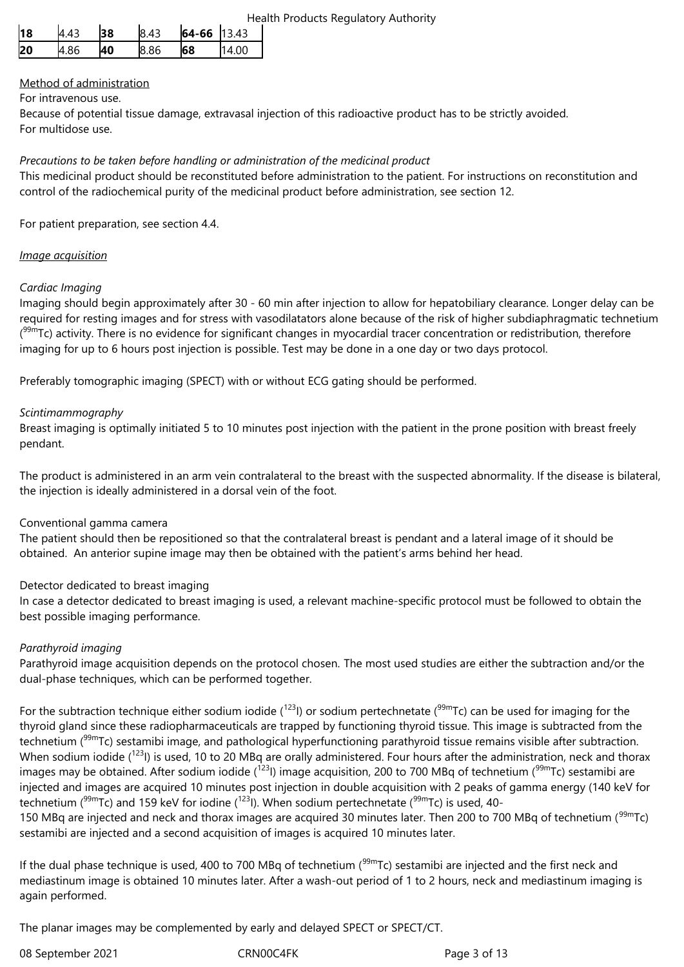| 118 | 4.43 | 38 | 8.43 | $64-66$ 13.43 |       |
|-----|------|----|------|---------------|-------|
| 20  | 4.86 | 40 | 8.86 | 68            | 14.00 |

# Method of administration

## For intravenous use.

Because of potential tissue damage, extravasal injection of this radioactive product has to be strictly avoided. For multidose use.

*Precautions to be taken before handling or administration of the medicinal product*

This medicinal product should be reconstituted before administration to the patient. For instructions on reconstitution and control of the radiochemical purity of the medicinal product before administration, see section 12.

For patient preparation, see section 4.4.

## *Image acquisition*

# *Cardiac Imaging*

Imaging should begin approximately after 30 - 60 min after injection to allow for hepatobiliary clearance. Longer delay can be required for resting images and for stress with vasodilatators alone because of the risk of higher subdiaphragmatic technetium (<sup>99m</sup>Tc) activity. There is no evidence for significant changes in myocardial tracer concentration or redistribution, therefore imaging for up to 6 hours post injection is possible. Test may be done in a one day or two days protocol.

Preferably tomographic imaging (SPECT) with or without ECG gating should be performed.

## *Scintimammography*

Breast imaging is optimally initiated 5 to 10 minutes post injection with the patient in the prone position with breast freely pendant.

The product is administered in an arm vein contralateral to the breast with the suspected abnormality. If the disease is bilateral, the injection is ideally administered in a dorsal vein of the foot.

## Conventional gamma camera

The patient should then be repositioned so that the contralateral breast is pendant and a lateral image of it should be obtained. An anterior supine image may then be obtained with the patient's arms behind her head.

## Detector dedicated to breast imaging

In case a detector dedicated to breast imaging is used, a relevant machine-specific protocol must be followed to obtain the best possible imaging performance.

## *Parathyroid imaging*

Parathyroid image acquisition depends on the protocol chosen. The most used studies are either the subtraction and/or the dual-phase techniques, which can be performed together.

For the subtraction technique either sodium iodide ( $123$ ) or sodium pertechnetate ( $99m$ Tc) can be used for imaging for the thyroid gland since these radiopharmaceuticals are trapped by functioning thyroid tissue. This image is subtracted from the technetium (<sup>99m</sup>Tc) sestamibi image, and pathological hyperfunctioning parathyroid tissue remains visible after subtraction. When sodium iodide (<sup>123</sup>I) is used, 10 to 20 MBq are orally administered. Four hours after the administration, neck and thorax images may be obtained. After sodium iodide ( $1231$ ) image acquisition, 200 to 700 MBq of technetium ( $99m$ Tc) sestamibi are injected and images are acquired 10 minutes post injection in double acquisition with 2 peaks of gamma energy (140 keV for technetium ( $99mTc$ ) and 159 keV for iodine ( $1231$ ). When sodium pertechnetate ( $99mTc$ ) is used, 40-

150 MBq are injected and neck and thorax images are acquired 30 minutes later. Then 200 to 700 MBq of technetium (<sup>99m</sup>Tc) sestamibi are injected and a second acquisition of images is acquired 10 minutes later.

If the dual phase technique is used, 400 to 700 MBq of technetium  $(99)$ mTc) sestamibi are injected and the first neck and mediastinum image is obtained 10 minutes later. After a wash-out period of 1 to 2 hours, neck and mediastinum imaging is again performed.

The planar images may be complemented by early and delayed SPECT or SPECT/CT.

08 September 2021 CRN00C4FK Page 3 of 13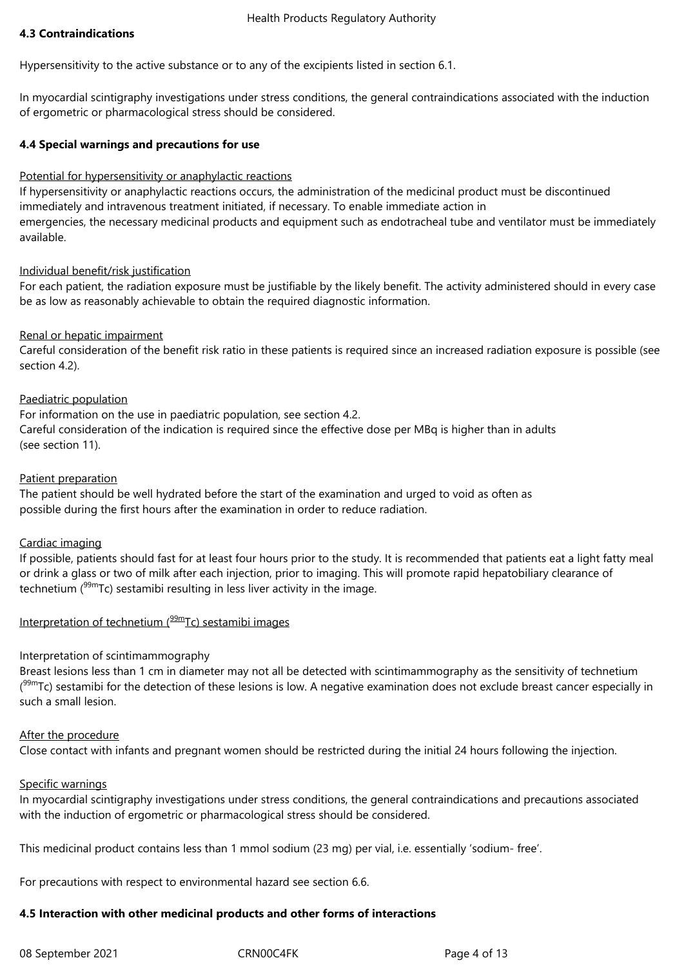#### **4.3 Contraindications**

Hypersensitivity to the active substance or to any of the excipients listed in section 6.1.

In myocardial scintigraphy investigations under stress conditions, the general contraindications associated with the induction of ergometric or pharmacological stress should be considered.

#### **4.4 Special warnings and precautions for use**

#### Potential for hypersensitivity or anaphylactic reactions

If hypersensitivity or anaphylactic reactions occurs, the administration of the medicinal product must be discontinued immediately and intravenous treatment initiated, if necessary. To enable immediate action in emergencies, the necessary medicinal products and equipment such as endotracheal tube and ventilator must be immediately available.

## Individual benefit/risk justification

For each patient, the radiation exposure must be justifiable by the likely benefit. The activity administered should in every case be as low as reasonably achievable to obtain the required diagnostic information.

## Renal or hepatic impairment

Careful consideration of the benefit risk ratio in these patients is required since an increased radiation exposure is possible (see section 4.2).

## Paediatric population

For information on the use in paediatric population, see section 4.2. Careful consideration of the indication is required since the effective dose per MBq is higher than in adults (see section 11).

#### Patient preparation

The patient should be well hydrated before the start of the examination and urged to void as often as possible during the first hours after the examination in order to reduce radiation.

## Cardiac imaging

If possible, patients should fast for at least four hours prior to the study. It is recommended that patients eat a light fatty meal or drink a glass or two of milk after each injection, prior to imaging. This will promote rapid hepatobiliary clearance of technetium  $(99m)$  sestamibi resulting in less liver activity in the image.

#### Interpretation of technetium  $(^{99m}$ Tc) sestamibi images

#### Interpretation of scintimammography

Breast lesions less than 1 cm in diameter may not all be detected with scintimammography as the sensitivity of technetium (<sup>99m</sup>Tc) sestamibi for the detection of these lesions is low. A negative examination does not exclude breast cancer especially in such a small lesion.

#### After the procedure

Close contact with infants and pregnant women should be restricted during the initial 24 hours following the injection.

#### Specific warnings

In myocardial scintigraphy investigations under stress conditions, the general contraindications and precautions associated with the induction of ergometric or pharmacological stress should be considered.

This medicinal product contains less than 1 mmol sodium (23 mg) per vial, i.e. essentially 'sodium- free'.

For precautions with respect to environmental hazard see section 6.6.

#### **4.5 Interaction with other medicinal products and other forms of interactions**

08 September 2021 CRN00C4FK Page 4 of 13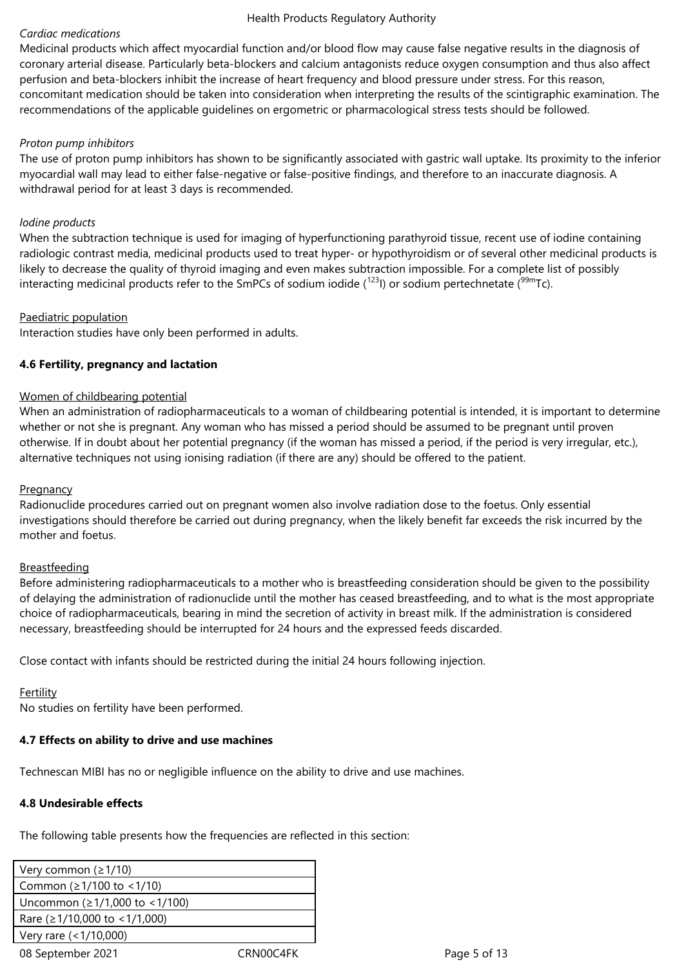#### *Cardiac medications*

Medicinal products which affect myocardial function and/or blood flow may cause false negative results in the diagnosis of coronary arterial disease. Particularly beta-blockers and calcium antagonists reduce oxygen consumption and thus also affect perfusion and beta-blockers inhibit the increase of heart frequency and blood pressure under stress. For this reason, concomitant medication should be taken into consideration when interpreting the results of the scintigraphic examination. The recommendations of the applicable guidelines on ergometric or pharmacological stress tests should be followed.

#### *Proton pump inhibitors*

The use of proton pump inhibitors has shown to be significantly associated with gastric wall uptake. Its proximity to the inferior myocardial wall may lead to either false-negative or false-positive findings, and therefore to an inaccurate diagnosis. A withdrawal period for at least 3 days is recommended.

#### *Iodine products*

When the subtraction technique is used for imaging of hyperfunctioning parathyroid tissue, recent use of iodine containing radiologic contrast media, medicinal products used to treat hyper- or hypothyroidism or of several other medicinal products is likely to decrease the quality of thyroid imaging and even makes subtraction impossible. For a complete list of possibly interacting medicinal products refer to the SmPCs of sodium iodide  $(123)$  or sodium pertechnetate  $(99m)$ Tc).

#### Paediatric population

Interaction studies have only been performed in adults.

## **4.6 Fertility, pregnancy and lactation**

#### Women of childbearing potential

When an administration of radiopharmaceuticals to a woman of childbearing potential is intended, it is important to determine whether or not she is pregnant. Any woman who has missed a period should be assumed to be pregnant until proven otherwise. If in doubt about her potential pregnancy (if the woman has missed a period, if the period is very irregular, etc.), alternative techniques not using ionising radiation (if there are any) should be offered to the patient.

#### **Pregnancy**

Radionuclide procedures carried out on pregnant women also involve radiation dose to the foetus. Only essential investigations should therefore be carried out during pregnancy, when the likely benefit far exceeds the risk incurred by the mother and foetus.

#### Breastfeeding

Before administering radiopharmaceuticals to a mother who is breastfeeding consideration should be given to the possibility of delaying the administration of radionuclide until the mother has ceased breastfeeding, and to what is the most appropriate choice of radiopharmaceuticals, bearing in mind the secretion of activity in breast milk. If the administration is considered necessary, breastfeeding should be interrupted for 24 hours and the expressed feeds discarded.

Close contact with infants should be restricted during the initial 24 hours following injection.

#### Fertility

No studies on fertility have been performed.

## **4.7 Effects on ability to drive and use machines**

Technescan MIBI has no or negligible influence on the ability to drive and use machines.

#### **4.8 Undesirable effects**

The following table presents how the frequencies are reflected in this section:

| Very common $(21/10)$               |           |
|-------------------------------------|-----------|
| Common ( $\geq$ 1/100 to <1/10)     |           |
| Uncommon (≥1/1,000 to <1/100)       |           |
| Rare ( $\geq$ 1/10,000 to <1/1,000) |           |
| Very rare (<1/10,000)               |           |
| 08 September 2021                   | CRN00C4FK |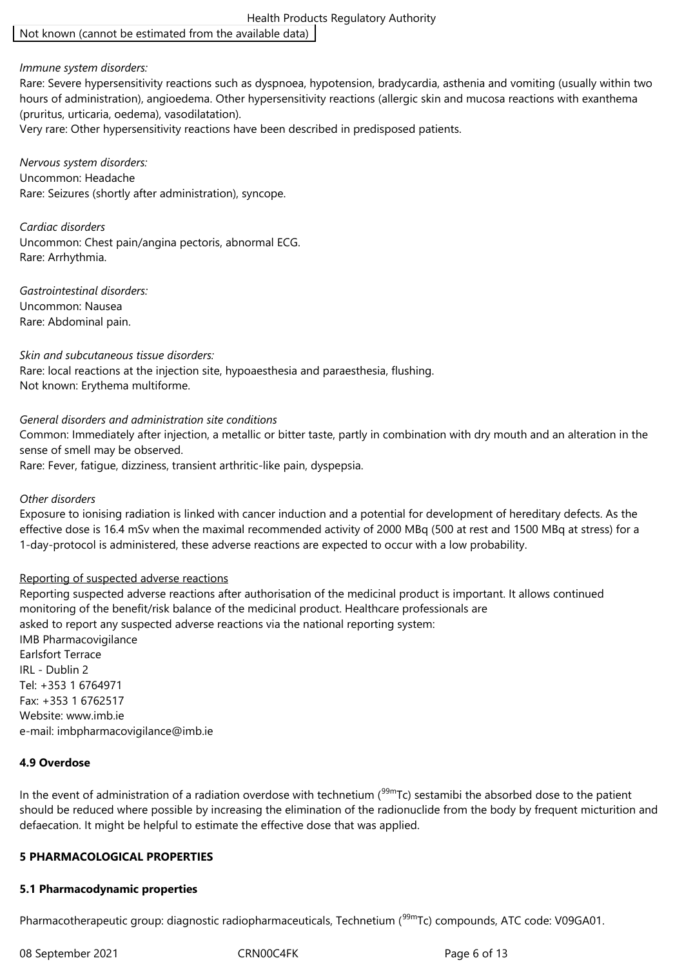Health Products Regulatory Authority Not known (cannot be estimated from the available data)

#### *Immune system disorders:*

Rare: Severe hypersensitivity reactions such as dyspnoea, hypotension, bradycardia, asthenia and vomiting (usually within two hours of administration), angioedema. Other hypersensitivity reactions (allergic skin and mucosa reactions with exanthema (pruritus, urticaria, oedema), vasodilatation).

Very rare: Other hypersensitivity reactions have been described in predisposed patients.

*Nervous system disorders:* Uncommon: Headache Rare: Seizures (shortly after administration), syncope.

*Cardiac disorders* Uncommon: Chest pain/angina pectoris, abnormal ECG. Rare: Arrhythmia.

*Gastrointestinal disorders:* Uncommon: Nausea Rare: Abdominal pain.

#### *Skin and subcutaneous tissue disorders:*

Rare: local reactions at the injection site, hypoaesthesia and paraesthesia, flushing. Not known: Erythema multiforme.

#### *General disorders and administration site conditions*

Common: Immediately after injection, a metallic or bitter taste, partly in combination with dry mouth and an alteration in the sense of smell may be observed.

Rare: Fever, fatigue, dizziness, transient arthritic-like pain, dyspepsia.

#### *Other disorders*

Exposure to ionising radiation is linked with cancer induction and a potential for development of hereditary defects. As the effective dose is 16.4 mSv when the maximal recommended activity of 2000 MBq (500 at rest and 1500 MBq at stress) for a 1-day-protocol is administered, these adverse reactions are expected to occur with a low probability.

#### Reporting of suspected adverse reactions

Reporting suspected adverse reactions after authorisation of the medicinal product is important. It allows continued monitoring of the benefit/risk balance of the medicinal product. Healthcare professionals are asked to report any suspected adverse reactions via the national reporting system: IMB Pharmacovigilance Earlsfort Terrace IRL - Dublin 2 Tel: +353 1 6764971 Fax: +353 1 6762517 Website: www.imb.ie e-mail: imbpharmacovigilance@imb.ie

#### **4.9 Overdose**

In the event of administration of a radiation overdose with technetium ( $99mTc$ ) sestamibi the absorbed dose to the patient should be reduced where possible by increasing the elimination of the radionuclide from the body by frequent micturition and defaecation. It might be helpful to estimate the effective dose that was applied.

#### **5 PHARMACOLOGICAL PROPERTIES**

#### **5.1 Pharmacodynamic properties**

Pharmacotherapeutic group: diagnostic radiopharmaceuticals, Technetium (<sup>99m</sup>Tc) compounds, ATC code: V09GA01.

08 September 2021 CRN00C4FK Page 6 of 13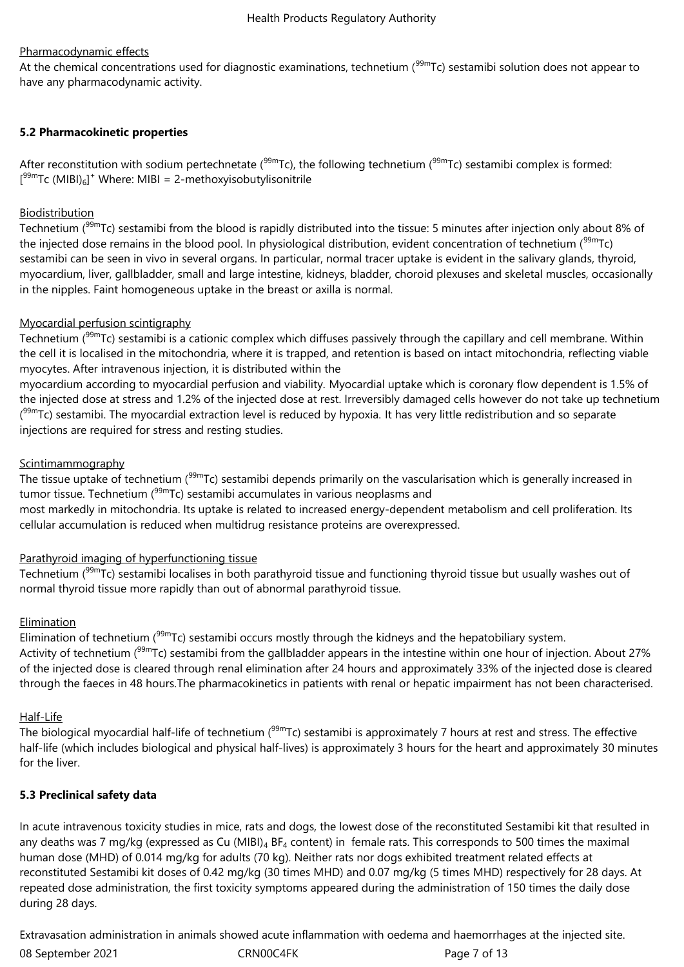## Pharmacodynamic effects

At the chemical concentrations used for diagnostic examinations, technetium ( $99m$ Tc) sestamibi solution does not appear to have any pharmacodynamic activity.

## **5.2 Pharmacokinetic properties**

After reconstitution with sodium pertechnetate ( $99mTc$ ), the following technetium ( $99mTc$ ) sestamibi complex is formed: [<sup>99m</sup>Tc (MIBI)<sub>6</sub>]<sup>+</sup> Where: MIBI = 2-methoxyisobutylisonitrile

## **Biodistribution**

Technetium (<sup>99m</sup>Tc) sestamibi from the blood is rapidly distributed into the tissue: 5 minutes after injection only about 8% of the injected dose remains in the blood pool. In physiological distribution, evident concentration of technetium (<sup>99m</sup>Tc) sestamibi can be seen in vivo in several organs. In particular, normal tracer uptake is evident in the salivary glands, thyroid, myocardium, liver, gallbladder, small and large intestine, kidneys, bladder, choroid plexuses and skeletal muscles, occasionally in the nipples. Faint homogeneous uptake in the breast or axilla is normal.

## Myocardial perfusion scintigraphy

Technetium  $(99m)$  sestamibi is a cationic complex which diffuses passively through the capillary and cell membrane. Within the cell it is localised in the mitochondria, where it is trapped, and retention is based on intact mitochondria, reflecting viable myocytes. After intravenous injection, it is distributed within the

myocardium according to myocardial perfusion and viability. Myocardial uptake which is coronary flow dependent is 1.5% of the injected dose at stress and 1.2% of the injected dose at rest. Irreversibly damaged cells however do not take up technetium (<sup>99m</sup>Tc) sestamibi. The myocardial extraction level is reduced by hypoxia. It has very little redistribution and so separate injections are required for stress and resting studies.

## Scintimammography

The tissue uptake of technetium (99mTc) sestamibi depends primarily on the vascularisation which is generally increased in tumor tissue. Technetium  $(99m)$ Tc) sestamibi accumulates in various neoplasms and most markedly in mitochondria. Its uptake is related to increased energy-dependent metabolism and cell proliferation. Its cellular accumulation is reduced when multidrug resistance proteins are overexpressed.

## Parathyroid imaging of hyperfunctioning tissue

Technetium (<sup>99m</sup>Tc) sestamibi localises in both parathyroid tissue and functioning thyroid tissue but usually washes out of normal thyroid tissue more rapidly than out of abnormal parathyroid tissue.

#### Elimination

Elimination of technetium (<sup>99m</sup>Tc) sestamibi occurs mostly through the kidneys and the hepatobiliary system. Activity of technetium (<sup>99m</sup>Tc) sestamibi from the gallbladder appears in the intestine within one hour of injection. About 27% of the injected dose is cleared through renal elimination after 24 hours and approximately 33% of the injected dose is cleared through the faeces in 48 hours.The pharmacokinetics in patients with renal or hepatic impairment has not been characterised.

#### Half-Life

The biological myocardial half-life of technetium ( $99mTc$ ) sestamibi is approximately 7 hours at rest and stress. The effective half-life (which includes biological and physical half-lives) is approximately 3 hours for the heart and approximately 30 minutes for the liver.

## **5.3 Preclinical safety data**

In acute intravenous toxicity studies in mice, rats and dogs, the lowest dose of the reconstituted Sestamibi kit that resulted in any deaths was 7 mg/kg (expressed as Cu (MIBI)<sub>4</sub> BF<sub>4</sub> content) in female rats. This corresponds to 500 times the maximal human dose (MHD) of 0.014 mg/kg for adults (70 kg). Neither rats nor dogs exhibited treatment related effects at reconstituted Sestamibi kit doses of 0.42 mg/kg (30 times MHD) and 0.07 mg/kg (5 times MHD) respectively for 28 days. At repeated dose administration, the first toxicity symptoms appeared during the administration of 150 times the daily dose during 28 days.

08 September 2021 CRN00C4FK Page 7 of 13 Extravasation administration in animals showed acute inflammation with oedema and haemorrhages at the injected site.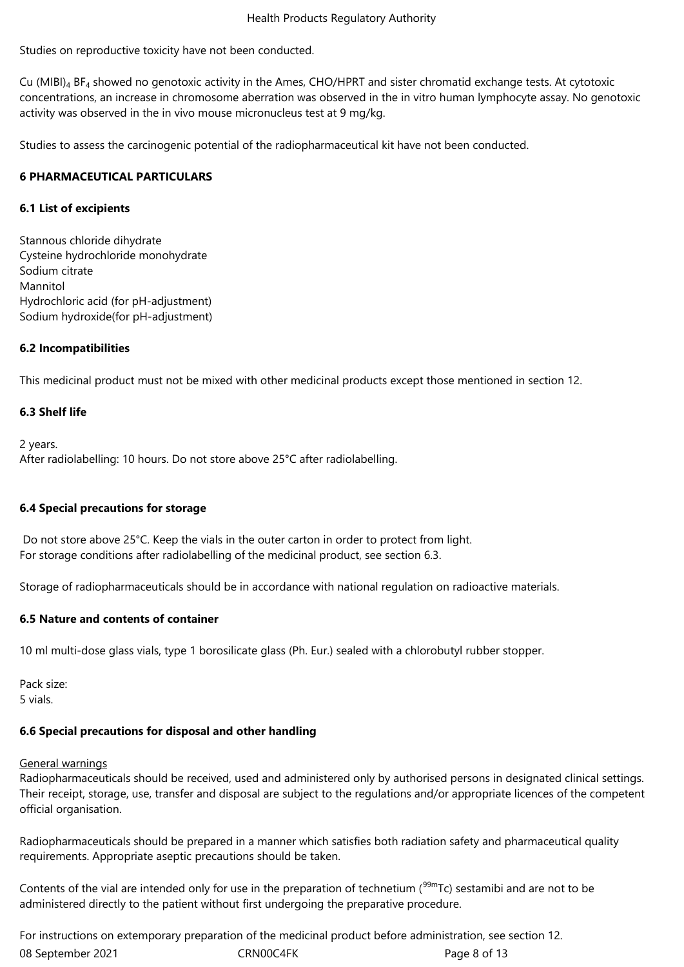Studies on reproductive toxicity have not been conducted.

Cu (MIBI) $_4$  BF<sub>4</sub> showed no genotoxic activity in the Ames, CHO/HPRT and sister chromatid exchange tests. At cytotoxic concentrations, an increase in chromosome aberration was observed in the in vitro human lymphocyte assay. No genotoxic activity was observed in the in vivo mouse micronucleus test at 9 mg/kg.

Studies to assess the carcinogenic potential of the radiopharmaceutical kit have not been conducted.

## **6 PHARMACEUTICAL PARTICULARS**

## **6.1 List of excipients**

Stannous chloride dihydrate Cysteine hydrochloride monohydrate Sodium citrate Mannitol Hydrochloric acid (for pH-adjustment) Sodium hydroxide(for pH-adjustment)

## **6.2 Incompatibilities**

This medicinal product must not be mixed with other medicinal products except those mentioned in section 12.

## **6.3 Shelf life**

2 years. After radiolabelling: 10 hours. Do not store above 25°C after radiolabelling.

#### **6.4 Special precautions for storage**

Do not store above 25°C. Keep the vials in the outer carton in order to protect from light. For storage conditions after radiolabelling of the medicinal product, see section 6.3.

Storage of radiopharmaceuticals should be in accordance with national regulation on radioactive materials.

#### **6.5 Nature and contents of container**

10 ml multi-dose glass vials, type 1 borosilicate glass (Ph. Eur.) sealed with a chlorobutyl rubber stopper.

Pack size: 5 vials.

#### **6.6 Special precautions for disposal and other handling**

#### General warnings

Radiopharmaceuticals should be received, used and administered only by authorised persons in designated clinical settings. Their receipt, storage, use, transfer and disposal are subject to the regulations and/or appropriate licences of the competent official organisation.

Radiopharmaceuticals should be prepared in a manner which satisfies both radiation safety and pharmaceutical quality requirements. Appropriate aseptic precautions should be taken.

Contents of the vial are intended only for use in the preparation of technetium ( $99mTc$ ) sestamibi and are not to be administered directly to the patient without first undergoing the preparative procedure.

08 September 2021 CRN00C4FK Page 8 of 13 For instructions on extemporary preparation of the medicinal product before administration, see section 12.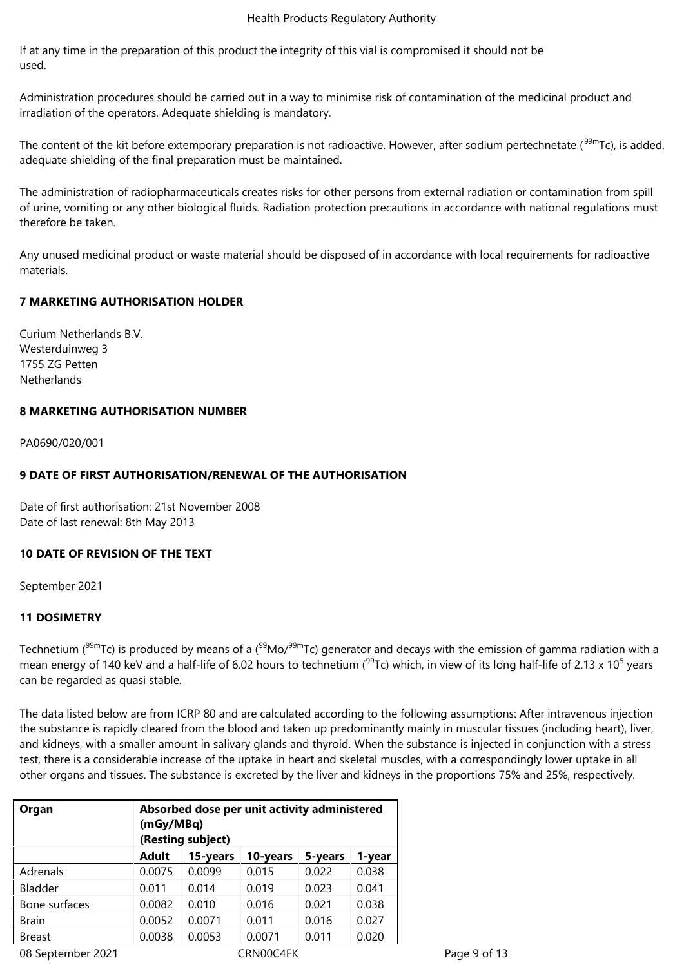If at any time in the preparation of this product the integrity of this vial is compromised it should not be used.

Administration procedures should be carried out in a way to minimise risk of contamination of the medicinal product and irradiation of the operators. Adequate shielding is mandatory.

The content of the kit before extemporary preparation is not radioactive. However, after sodium pertechnetate (99mTc), is added, adequate shielding of the final preparation must be maintained.

The administration of radiopharmaceuticals creates risks for other persons from external radiation or contamination from spill of urine, vomiting or any other biological fluids. Radiation protection precautions in accordance with national regulations must therefore be taken.

Any unused medicinal product or waste material should be disposed of in accordance with local requirements for radioactive materials.

## **7 MARKETING AUTHORISATION HOLDER**

Curium Netherlands B.V. Westerduinweg 3 1755 ZG Petten **Netherlands** 

#### **8 MARKETING AUTHORISATION NUMBER**

PA0690/020/001

## **9 DATE OF FIRST AUTHORISATION/RENEWAL OF THE AUTHORISATION**

Date of first authorisation: 21st November 2008 Date of last renewal: 8th May 2013

#### **10 DATE OF REVISION OF THE TEXT**

September 2021

#### **11 DOSIMETRY**

Technetium ( $99mTc$ ) is produced by means of a ( $99Mo/99mTc$ ) generator and decays with the emission of gamma radiation with a mean energy of 140 keV and a half-life of 6.02 hours to technetium ( $^{99}$ Tc) which, in view of its long half-life of 2.13 x 10<sup>5</sup> years can be regarded as quasi stable.

The data listed below are from ICRP 80 and are calculated according to the following assumptions: After intravenous injection the substance is rapidly cleared from the blood and taken up predominantly mainly in muscular tissues (including heart), liver, and kidneys, with a smaller amount in salivary glands and thyroid. When the substance is injected in conjunction with a stress test, there is a considerable increase of the uptake in heart and skeletal muscles, with a correspondingly lower uptake in all other organs and tissues. The substance is excreted by the liver and kidneys in the proportions 75% and 25%, respectively.

| Organ                          | Absorbed dose per unit activity administered<br>(mGy/MBq)<br>(Resting subject) |        |        |       |       |  |  |
|--------------------------------|--------------------------------------------------------------------------------|--------|--------|-------|-------|--|--|
|                                | Adult<br>10-years<br>15-years<br>5-years<br>1-year                             |        |        |       |       |  |  |
| Adrenals                       | 0.0075                                                                         | 0.0099 | 0.015  | 0.022 | 0.038 |  |  |
| Bladder                        | 0.011                                                                          | 0.014  | 0.019  | 0.023 | 0.041 |  |  |
| Bone surfaces                  | 0.0082                                                                         | 0.010  | 0.016  | 0.021 | 0.038 |  |  |
| <b>Brain</b>                   | 0.0052                                                                         | 0.0071 | 0.011  | 0.016 | 0.027 |  |  |
| <b>Breast</b>                  | 0.0038                                                                         | 0.0053 | 0.0071 | 0.011 | 0.020 |  |  |
| 08 September 2021<br>CRN00C4FK |                                                                                |        |        |       |       |  |  |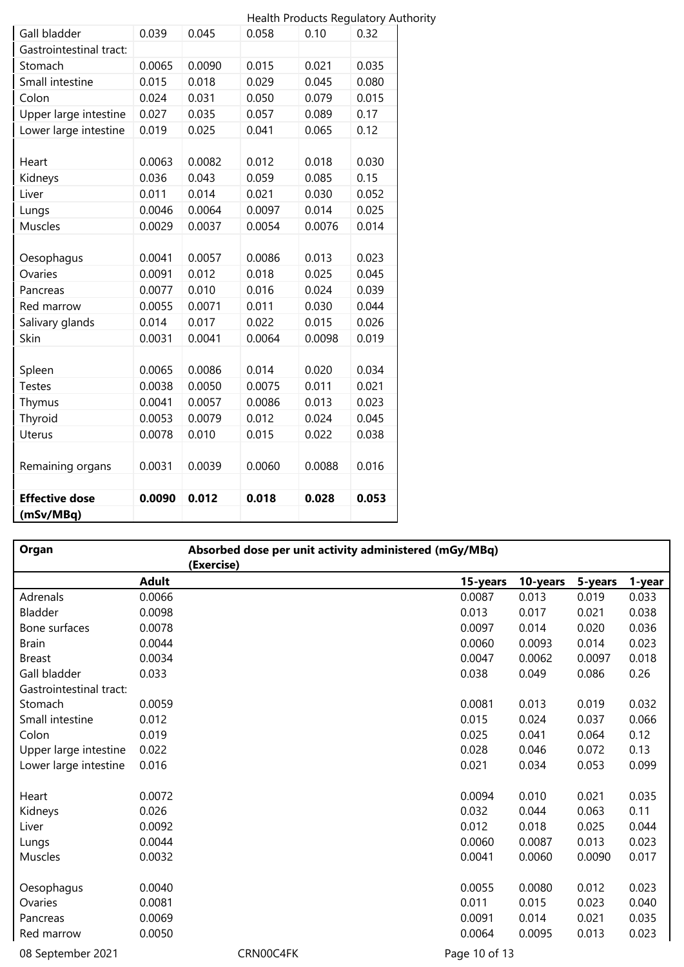|                         |        |        |        | <b>Health Products Regulatory Authority</b> |       |
|-------------------------|--------|--------|--------|---------------------------------------------|-------|
| Gall bladder            | 0.039  | 0.045  | 0.058  | 0.10                                        | 0.32  |
| Gastrointestinal tract: |        |        |        |                                             |       |
| Stomach                 | 0.0065 | 0.0090 | 0.015  | 0.021                                       | 0.035 |
| Small intestine         | 0.015  | 0.018  | 0.029  | 0.045                                       | 0.080 |
| Colon                   | 0.024  | 0.031  | 0.050  | 0.079                                       | 0.015 |
| Upper large intestine   | 0.027  | 0.035  | 0.057  | 0.089                                       | 0.17  |
| Lower large intestine   | 0.019  | 0.025  | 0.041  | 0.065                                       | 0.12  |
|                         |        |        |        |                                             |       |
| Heart                   | 0.0063 | 0.0082 | 0.012  | 0.018                                       | 0.030 |
| Kidneys                 | 0.036  | 0.043  | 0.059  | 0.085                                       | 0.15  |
| Liver                   | 0.011  | 0.014  | 0.021  | 0.030                                       | 0.052 |
| Lungs                   | 0.0046 | 0.0064 | 0.0097 | 0.014                                       | 0.025 |
| Muscles                 | 0.0029 | 0.0037 | 0.0054 | 0.0076                                      | 0.014 |
|                         |        |        |        |                                             |       |
| Oesophagus              | 0.0041 | 0.0057 | 0.0086 | 0.013                                       | 0.023 |
| Ovaries                 | 0.0091 | 0.012  | 0.018  | 0.025                                       | 0.045 |
| Pancreas                | 0.0077 | 0.010  | 0.016  | 0.024                                       | 0.039 |
| Red marrow              | 0.0055 | 0.0071 | 0.011  | 0.030                                       | 0.044 |
| Salivary glands         | 0.014  | 0.017  | 0.022  | 0.015                                       | 0.026 |
| Skin                    | 0.0031 | 0.0041 | 0.0064 | 0.0098                                      | 0.019 |
|                         |        |        |        |                                             |       |
| Spleen                  | 0.0065 | 0.0086 | 0.014  | 0.020                                       | 0.034 |
| <b>Testes</b>           | 0.0038 | 0.0050 | 0.0075 | 0.011                                       | 0.021 |
| Thymus                  | 0.0041 | 0.0057 | 0.0086 | 0.013                                       | 0.023 |
| Thyroid                 | 0.0053 | 0.0079 | 0.012  | 0.024                                       | 0.045 |
| <b>Uterus</b>           | 0.0078 | 0.010  | 0.015  | 0.022                                       | 0.038 |
|                         |        |        |        |                                             |       |
| Remaining organs        | 0.0031 | 0.0039 | 0.0060 | 0.0088                                      | 0.016 |
|                         |        |        |        |                                             |       |
| <b>Effective dose</b>   | 0.0090 | 0.012  | 0.018  | 0.028                                       | 0.053 |
| (mSv/MBq)               |        |        |        |                                             |       |

| Organ                   |              | Absorbed dose per unit activity administered (mGy/MBq)<br>(Exercise) |               |          |         |        |
|-------------------------|--------------|----------------------------------------------------------------------|---------------|----------|---------|--------|
|                         | <b>Adult</b> |                                                                      | 15-years      | 10-years | 5-years | 1-year |
| Adrenals                | 0.0066       |                                                                      | 0.0087        | 0.013    | 0.019   | 0.033  |
| Bladder                 | 0.0098       |                                                                      | 0.013         | 0.017    | 0.021   | 0.038  |
| Bone surfaces           | 0.0078       |                                                                      | 0.0097        | 0.014    | 0.020   | 0.036  |
| <b>Brain</b>            | 0.0044       |                                                                      | 0.0060        | 0.0093   | 0.014   | 0.023  |
| <b>Breast</b>           | 0.0034       |                                                                      | 0.0047        | 0.0062   | 0.0097  | 0.018  |
| Gall bladder            | 0.033        |                                                                      | 0.038         | 0.049    | 0.086   | 0.26   |
| Gastrointestinal tract: |              |                                                                      |               |          |         |        |
| Stomach                 | 0.0059       |                                                                      | 0.0081        | 0.013    | 0.019   | 0.032  |
| Small intestine         | 0.012        |                                                                      | 0.015         | 0.024    | 0.037   | 0.066  |
| Colon                   | 0.019        |                                                                      | 0.025         | 0.041    | 0.064   | 0.12   |
| Upper large intestine   | 0.022        |                                                                      | 0.028         | 0.046    | 0.072   | 0.13   |
| Lower large intestine   | 0.016        |                                                                      | 0.021         | 0.034    | 0.053   | 0.099  |
|                         |              |                                                                      |               |          |         |        |
| Heart                   | 0.0072       |                                                                      | 0.0094        | 0.010    | 0.021   | 0.035  |
| Kidneys                 | 0.026        |                                                                      | 0.032         | 0.044    | 0.063   | 0.11   |
| Liver                   | 0.0092       |                                                                      | 0.012         | 0.018    | 0.025   | 0.044  |
| Lungs                   | 0.0044       |                                                                      | 0.0060        | 0.0087   | 0.013   | 0.023  |
| Muscles                 | 0.0032       |                                                                      | 0.0041        | 0.0060   | 0.0090  | 0.017  |
| Oesophagus              | 0.0040       |                                                                      | 0.0055        | 0.0080   | 0.012   | 0.023  |
| Ovaries                 | 0.0081       |                                                                      | 0.011         | 0.015    | 0.023   | 0.040  |
| Pancreas                | 0.0069       |                                                                      | 0.0091        | 0.014    | 0.021   | 0.035  |
| Red marrow              | 0.0050       |                                                                      | 0.0064        | 0.0095   | 0.013   | 0.023  |
| 08 September 2021       |              | CRN00C4FK                                                            | Page 10 of 13 |          |         |        |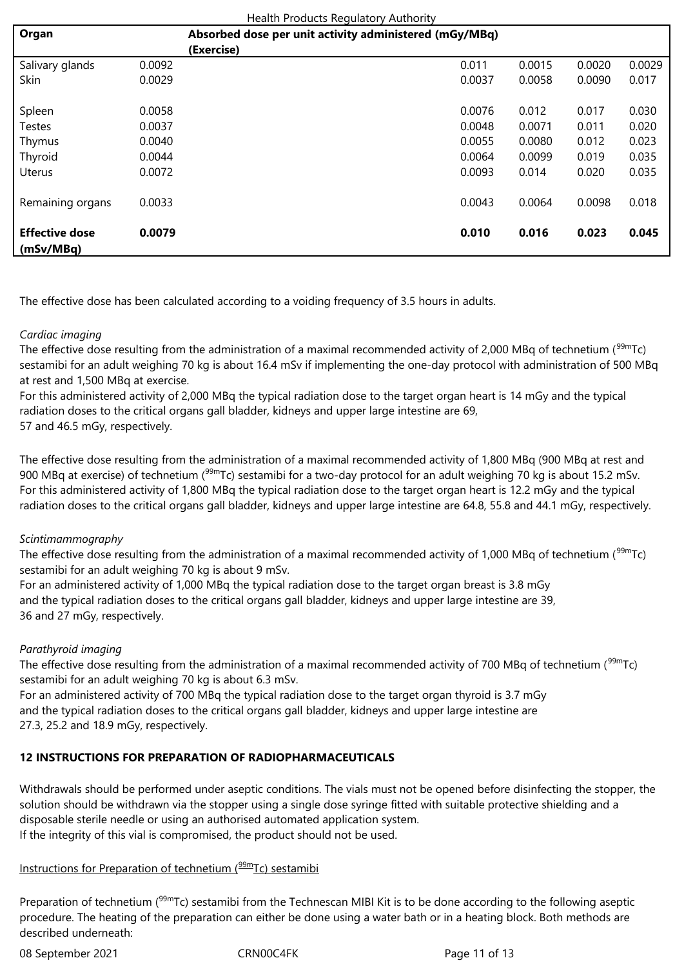| Health Products Regulatory Authority |                                                        |            |        |        |        |        |  |
|--------------------------------------|--------------------------------------------------------|------------|--------|--------|--------|--------|--|
| Organ                                | Absorbed dose per unit activity administered (mGy/MBq) |            |        |        |        |        |  |
|                                      |                                                        | (Exercise) |        |        |        |        |  |
| Salivary glands                      | 0.0092                                                 |            | 0.011  | 0.0015 | 0.0020 | 0.0029 |  |
| Skin                                 | 0.0029                                                 |            | 0.0037 | 0.0058 | 0.0090 | 0.017  |  |
| Spleen                               | 0.0058                                                 |            | 0.0076 | 0.012  | 0.017  | 0.030  |  |
| Testes                               | 0.0037                                                 |            | 0.0048 | 0.0071 | 0.011  | 0.020  |  |
| Thymus                               | 0.0040                                                 |            | 0.0055 | 0.0080 | 0.012  | 0.023  |  |
| Thyroid                              | 0.0044                                                 |            | 0.0064 | 0.0099 | 0.019  | 0.035  |  |
| <b>Uterus</b>                        | 0.0072                                                 |            | 0.0093 | 0.014  | 0.020  | 0.035  |  |
| Remaining organs                     | 0.0033                                                 |            | 0.0043 | 0.0064 | 0.0098 | 0.018  |  |
| <b>Effective dose</b><br>(mSv/MBq)   | 0.0079                                                 |            | 0.010  | 0.016  | 0.023  | 0.045  |  |

The effective dose has been calculated according to a voiding frequency of 3.5 hours in adults.

## *Cardiac imaging*

The effective dose resulting from the administration of a maximal recommended activity of 2,000 MBq of technetium ( $99mTc$ ) sestamibi for an adult weighing 70 kg is about 16.4 mSv if implementing the one-day protocol with administration of 500 MBq at rest and 1,500 MBq at exercise.

For this administered activity of 2,000 MBq the typical radiation dose to the target organ heart is 14 mGy and the typical radiation doses to the critical organs gall bladder, kidneys and upper large intestine are 69, 57 and 46.5 mGy, respectively.

The effective dose resulting from the administration of a maximal recommended activity of 1,800 MBq (900 MBq at rest and 900 MBq at exercise) of technetium (<sup>99m</sup>Tc) sestamibi for a two-day protocol for an adult weighing 70 kg is about 15.2 mSv. For this administered activity of 1,800 MBq the typical radiation dose to the target organ heart is 12.2 mGy and the typical radiation doses to the critical organs gall bladder, kidneys and upper large intestine are 64.8, 55.8 and 44.1 mGy, respectively.

#### *Scintimammography*

The effective dose resulting from the administration of a maximal recommended activity of 1,000 MBq of technetium (<sup>99m</sup>Tc) sestamibi for an adult weighing 70 kg is about 9 mSv.

For an administered activity of 1,000 MBq the typical radiation dose to the target organ breast is 3.8 mGy and the typical radiation doses to the critical organs gall bladder, kidneys and upper large intestine are 39, 36 and 27 mGy, respectively.

### *Parathyroid imaging*

The effective dose resulting from the administration of a maximal recommended activity of 700 MBq of technetium (<sup>99m</sup>Tc) sestamibi for an adult weighing 70 kg is about 6.3 mSv.

For an administered activity of 700 MBq the typical radiation dose to the target organ thyroid is 3.7 mGy and the typical radiation doses to the critical organs gall bladder, kidneys and upper large intestine are 27.3, 25.2 and 18.9 mGy, respectively.

## **12 INSTRUCTIONS FOR PREPARATION OF RADIOPHARMACEUTICALS**

Withdrawals should be performed under aseptic conditions. The vials must not be opened before disinfecting the stopper, the solution should be withdrawn via the stopper using a single dose syringe fitted with suitable protective shielding and a disposable sterile needle or using an authorised automated application system. If the integrity of this vial is compromised, the product should not be used.

# Instructions for Preparation of technetium  $(^{99m}$ Tc) sestamibi

Preparation of technetium ( $99mTc$ ) sestamibi from the Technescan MIBI Kit is to be done according to the following aseptic procedure. The heating of the preparation can either be done using a water bath or in a heating block. Both methods are described underneath:

08 September 2021 CRN00C4FK Page 11 of 13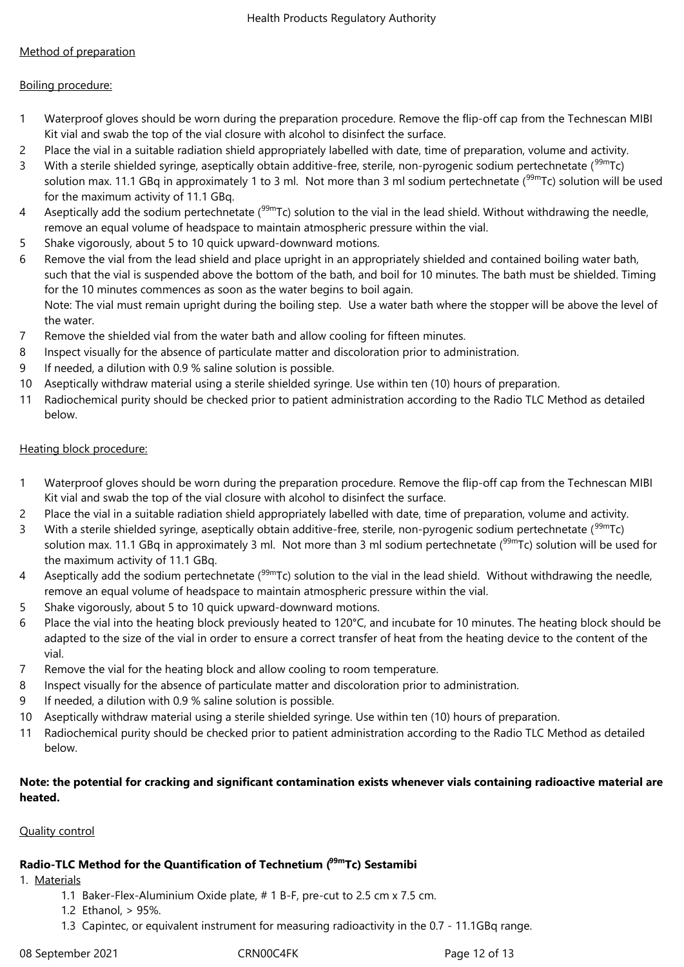# Method of preparation

## Boiling procedure:

- 1 Waterproof gloves should be worn during the preparation procedure. Remove the flip-off cap from the Technescan MIBI Kit vial and swab the top of the vial closure with alcohol to disinfect the surface.
- 2 Place the vial in a suitable radiation shield appropriately labelled with date, time of preparation, volume and activity.
- 3 With a sterile shielded syringe, aseptically obtain additive-free, sterile, non-pyrogenic sodium pertechnetate (<sup>99m</sup>Tc) solution max. 11.1 GBq in approximately 1 to 3 ml. Not more than 3 ml sodium pertechnetate (<sup>99m</sup>Tc) solution will be used for the maximum activity of 11.1 GBq.
- 4 Aseptically add the sodium pertechnetate  $(99m)$ Tc) solution to the vial in the lead shield. Without withdrawing the needle, remove an equal volume of headspace to maintain atmospheric pressure within the vial.
- 5 Shake vigorously, about 5 to 10 quick upward-downward motions.
- 6 Remove the vial from the lead shield and place upright in an appropriately shielded and contained boiling water bath, such that the vial is suspended above the bottom of the bath, and boil for 10 minutes. The bath must be shielded. Timing for the 10 minutes commences as soon as the water begins to boil again. Note: The vial must remain upright during the boiling step. Use a water bath where the stopper will be above the level of the water.
- 7 Remove the shielded vial from the water bath and allow cooling for fifteen minutes.
- 8 Inspect visually for the absence of particulate matter and discoloration prior to administration.
- 9 If needed, a dilution with 0.9 % saline solution is possible.
- 10 Aseptically withdraw material using a sterile shielded syringe. Use within ten (10) hours of preparation.
- 11 Radiochemical purity should be checked prior to patient administration according to the Radio TLC Method as detailed below.

## Heating block procedure:

- 1 Waterproof gloves should be worn during the preparation procedure. Remove the flip-off cap from the Technescan MIBI Kit vial and swab the top of the vial closure with alcohol to disinfect the surface.
- 2 Place the vial in a suitable radiation shield appropriately labelled with date, time of preparation, volume and activity.
- 3 With a sterile shielded syringe, aseptically obtain additive-free, sterile, non-pyrogenic sodium pertechnetate (<sup>99m</sup>Tc) solution max. 11.1 GBq in approximately 3 ml. Not more than 3 ml sodium pertechnetate ( $99mTc$ ) solution will be used for the maximum activity of 11.1 GBq.
- 4 Aseptically add the sodium pertechnetate (<sup>99m</sup>Tc) solution to the vial in the lead shield. Without withdrawing the needle, remove an equal volume of headspace to maintain atmospheric pressure within the vial.
- 5 Shake vigorously, about 5 to 10 quick upward-downward motions.
- 6 Place the vial into the heating block previously heated to 120°C, and incubate for 10 minutes. The heating block should be adapted to the size of the vial in order to ensure a correct transfer of heat from the heating device to the content of the vial.
- 7 Remove the vial for the heating block and allow cooling to room temperature.
- 8 Inspect visually for the absence of particulate matter and discoloration prior to administration.
- 9 If needed, a dilution with 0.9 % saline solution is possible.
- 10 Aseptically withdraw material using a sterile shielded syringe. Use within ten (10) hours of preparation.
- 11 Radiochemical purity should be checked prior to patient administration according to the Radio TLC Method as detailed below.

## **Note: the potential for cracking and significant contamination exists whenever vials containing radioactive material are heated.**

## Quality control

# **Radio-TLC Method for the Quantification of Technetium (99mTc) Sestamibi**

1. Materials

- 1.1 Baker-Flex-Aluminium Oxide plate, # 1 B-F, pre-cut to 2.5 cm x 7.5 cm.
- 1.2 Ethanol, > 95%.
- 1.3 Capintec, or equivalent instrument for measuring radioactivity in the 0.7 11.1GBq range.